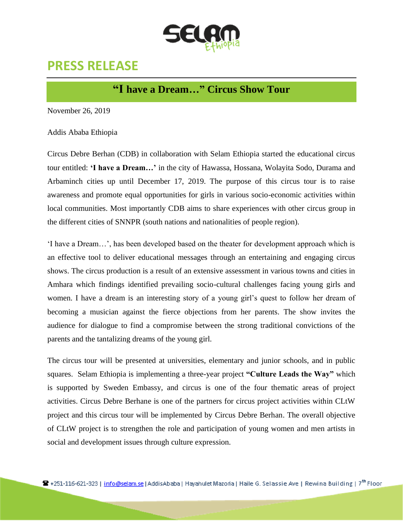

# **PRESS RELEASE**

## **"I have a Dream…" Circus Show Tour**

November 26, 2019

Addis Ababa Ethiopia

Circus Debre Berhan (CDB) in collaboration with Selam Ethiopia started the educational circus tour entitled: **'I have a Dream…'** in the city of Hawassa, Hossana, Wolayita Sodo, Durama and Arbaminch cities up until December 17, 2019. The purpose of this circus tour is to raise awareness and promote equal opportunities for girls in various socio-economic activities within local communities. Most importantly CDB aims to share experiences with other circus group in the different cities of SNNPR (south nations and nationalities of people region).

'I have a Dream…', has been developed based on the theater for development approach which is an effective tool to deliver educational messages through an entertaining and engaging circus shows. The circus production is a result of an extensive assessment in various towns and cities in Amhara which findings identified prevailing socio-cultural challenges facing young girls and women. I have a dream is an interesting story of a young girl's quest to follow her dream of becoming a musician against the fierce objections from her parents. The show invites the audience for dialogue to find a compromise between the strong traditional convictions of the parents and the tantalizing dreams of the young girl.

The circus tour will be presented at universities, elementary and junior schools, and in public squares. Selam Ethiopia is implementing a three-year project **"Culture Leads the Way"** which is supported by Sweden Embassy, and circus is one of the four thematic areas of project activities. Circus Debre Berhane is one of the partners for circus project activities within CLtW project and this circus tour will be implemented by Circus Debre Berhan. The overall objective of CLtW project is to strengthen the role and participation of young women and men artists in social and development issues through culture expression.